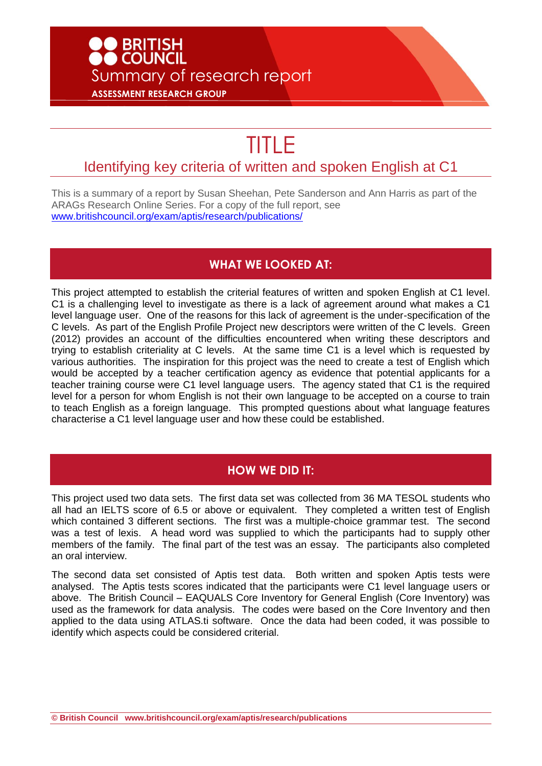## **D**<br>BRITISH<br>DCOUNCIL Summary of research report **ASSESSMENT RESEARCH GROUP**

# TITLE

### Identifying key criteria of written and spoken English at C1

This is a summary of a report by Susan Sheehan, Pete Sanderson and Ann Harris as part of the ARAGs Research Online Series. For a copy of the full report, see [www.britishcouncil.org/exam/aptis/research/publications/](http://www.britishcouncil.org/exam/aptis/research/publications/)

#### **WHAT WE LOOKED AT:**

This project attempted to establish the criterial features of written and spoken English at C1 level. C1 is a challenging level to investigate as there is a lack of agreement around what makes a C1 level language user. One of the reasons for this lack of agreement is the under-specification of the C levels. As part of the English Profile Project new descriptors were written of the C levels. Green (2012) provides an account of the difficulties encountered when writing these descriptors and trying to establish criteriality at C levels. At the same time C1 is a level which is requested by various authorities. The inspiration for this project was the need to create a test of English which would be accepted by a teacher certification agency as evidence that potential applicants for a teacher training course were C1 level language users. The agency stated that C1 is the required level for a person for whom English is not their own language to be accepted on a course to train to teach English as a foreign language. This prompted questions about what language features characterise a C1 level language user and how these could be established.

#### **HOW WE DID IT:**

This project used two data sets. The first data set was collected from 36 MA TESOL students who all had an IELTS score of 6.5 or above or equivalent. They completed a written test of English which contained 3 different sections. The first was a multiple-choice grammar test. The second was a test of lexis. A head word was supplied to which the participants had to supply other members of the family. The final part of the test was an essay. The participants also completed an oral interview.

The second data set consisted of Aptis test data. Both written and spoken Aptis tests were analysed. The Aptis tests scores indicated that the participants were C1 level language users or above. The British Council – EAQUALS Core Inventory for General English (Core Inventory) was used as the framework for data analysis. The codes were based on the Core Inventory and then applied to the data using ATLAS.ti software. Once the data had been coded, it was possible to identify which aspects could be considered criterial.